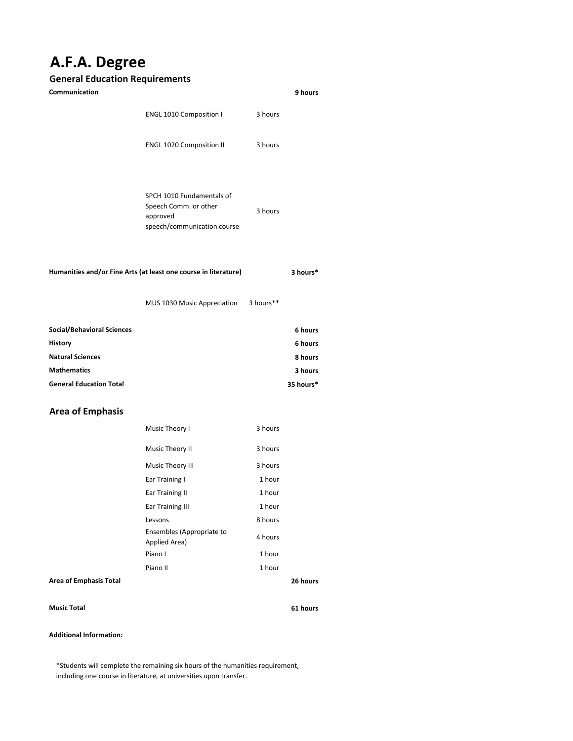# **A.F.A. Degree**

## **General Education Requirements**

| Communication                                                   |                                                                                               |           | 9 hours            |
|-----------------------------------------------------------------|-----------------------------------------------------------------------------------------------|-----------|--------------------|
|                                                                 | ENGL 1010 Composition I                                                                       | 3 hours   |                    |
|                                                                 | ENGL 1020 Composition II                                                                      | 3 hours   |                    |
|                                                                 | SPCH 1010 Fundamentals of<br>Speech Comm. or other<br>approved<br>speech/communication course | 3 hours   |                    |
| Humanities and/or Fine Arts (at least one course in literature) |                                                                                               |           | 3 hours*           |
|                                                                 | MUS 1030 Music Appreciation                                                                   | 3 hours** |                    |
| <b>Social/Behavioral Sciences</b>                               |                                                                                               |           | 6 hours            |
| <b>History</b>                                                  |                                                                                               |           | 6 hours            |
| <b>Natural Sciences</b><br><b>Mathematics</b>                   |                                                                                               |           | 8 hours<br>3 hours |
| <b>General Education Total</b>                                  |                                                                                               |           | 35 hours*          |
| <b>Area of Emphasis</b>                                         |                                                                                               |           |                    |
|                                                                 | Music Theory I                                                                                | 3 hours   |                    |
|                                                                 | Music Theory II                                                                               | 3 hours   |                    |
|                                                                 | Music Theory III                                                                              | 3 hours   |                    |
|                                                                 | Ear Training I                                                                                | 1 hour    |                    |
|                                                                 | <b>Ear Training II</b>                                                                        | 1 hour    |                    |
|                                                                 | <b>Ear Training III</b>                                                                       | 1 hour    |                    |

**Area of Emphasis Total**

Lessons 8 hours

Ensembles (Appropriate to a 4 hours<br>Applied Area) Piano I 1 hour Piano II 1 hour

Ensembles (Appropriate to

### **Music Total**

**61 hours**

**26 hours**

### **Additional Information:**

\*Students will complete the remaining six hours of the humanities requirement, including one course in literature, at universities upon transfer.